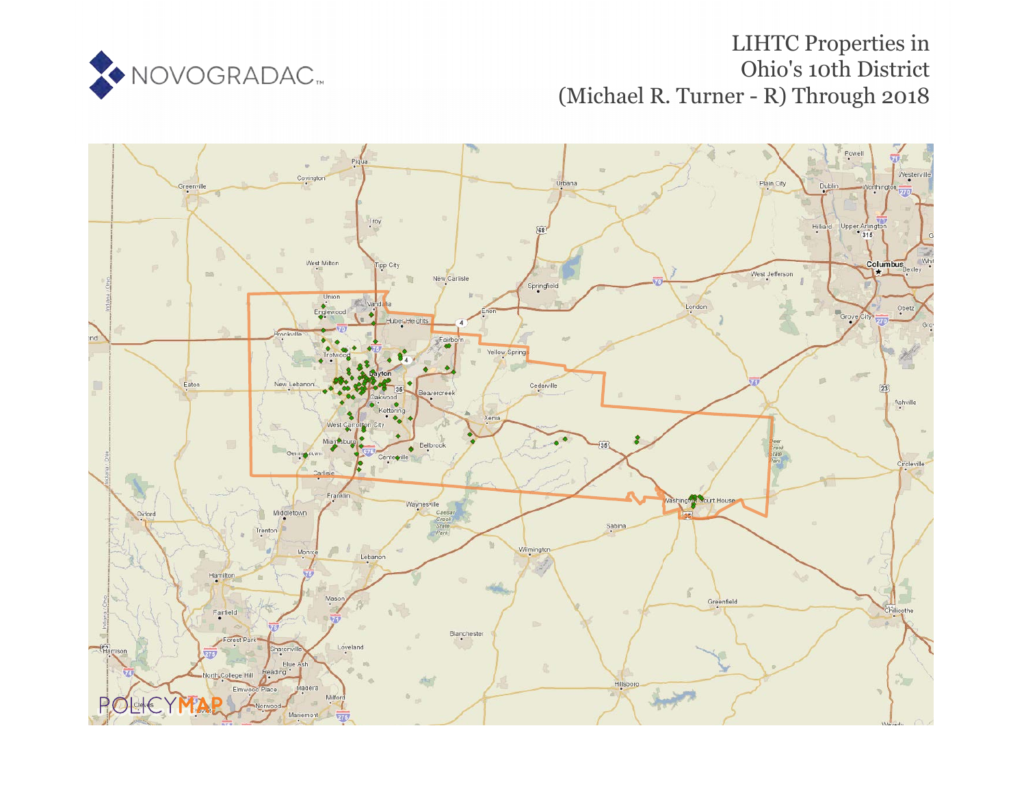

# LIHTC Properties in Ohio's 10th District (Michael R. Turner - R) Through 2018

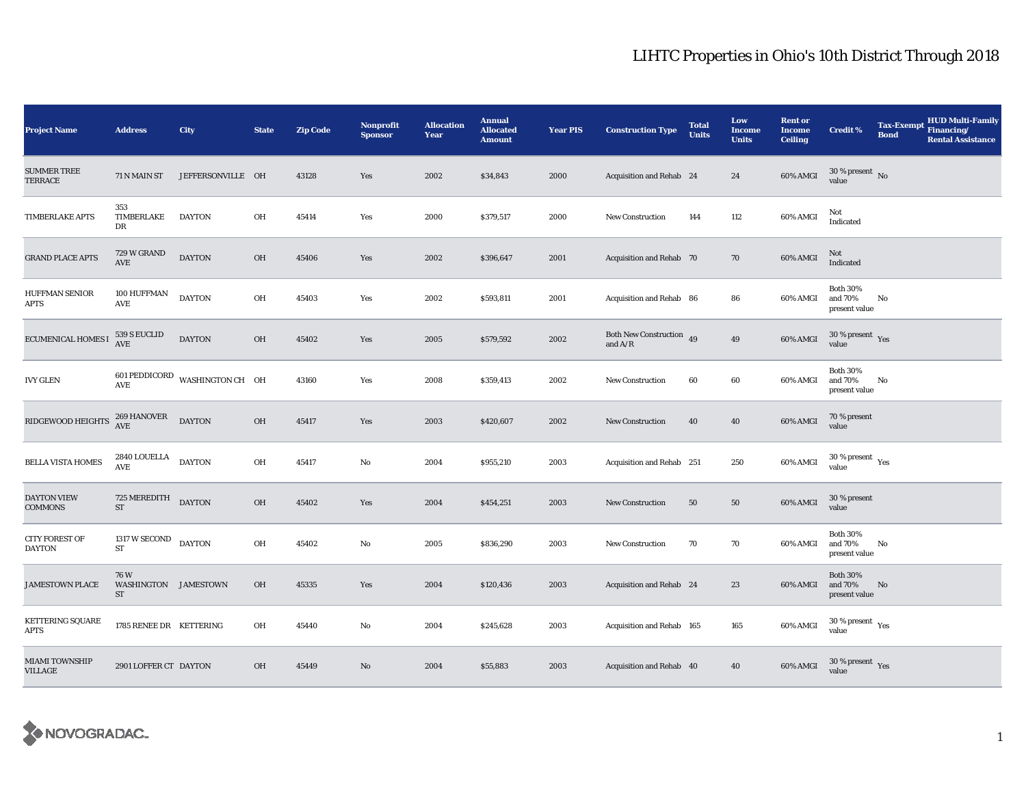| <b>Project Name</b>                    | <b>Address</b>                           | <b>City</b>                                            | <b>State</b> | <b>Zip Code</b> | <b>Nonprofit</b><br><b>Sponsor</b> | <b>Allocation</b><br>Year | <b>Annual</b><br><b>Allocated</b><br><b>Amount</b> | <b>Year PIS</b> | <b>Construction Type</b>              | <b>Total</b><br><b>Units</b> | Low<br><b>Income</b><br><b>Units</b> | <b>Rent or</b><br><b>Income</b><br><b>Ceiling</b> | <b>Credit %</b>                              | <b>Tax-Exempt</b><br><b>Bond</b> | <b>HUD Multi-Family</b><br>Financing/<br><b>Rental Assistance</b> |
|----------------------------------------|------------------------------------------|--------------------------------------------------------|--------------|-----------------|------------------------------------|---------------------------|----------------------------------------------------|-----------------|---------------------------------------|------------------------------|--------------------------------------|---------------------------------------------------|----------------------------------------------|----------------------------------|-------------------------------------------------------------------|
| <b>SUMMER TREE</b><br>TERRACE          | 71 N MAIN ST                             | JEFFERSONVILLE OH                                      |              | 43128           | Yes                                | 2002                      | \$34,843                                           | 2000            | Acquisition and Rehab 24              |                              | 24                                   | 60% AMGI                                          | $30$ % present $\,$ No $\,$<br>value         |                                  |                                                                   |
| <b>TIMBERLAKE APTS</b>                 | 353<br>TIMBERLAKE<br>DR                  | <b>DAYTON</b>                                          | OH           | 45414           | Yes                                | 2000                      | \$379,517                                          | 2000            | <b>New Construction</b>               | 144                          | 112                                  | 60% AMGI                                          | Not<br>Indicated                             |                                  |                                                                   |
| <b>GRAND PLACE APTS</b>                | 729 W GRAND<br>$\operatorname{AVE}$      | <b>DAYTON</b>                                          | OH           | 45406           | Yes                                | 2002                      | \$396,647                                          | 2001            | Acquisition and Rehab 70              |                              | 70                                   | 60% AMGI                                          | Not<br>Indicated                             |                                  |                                                                   |
| HUFFMAN SENIOR<br><b>APTS</b>          | 100 HUFFMAN<br>$\operatorname{AVE}$      | <b>DAYTON</b>                                          | OH           | 45403           | Yes                                | 2002                      | \$593,811                                          | 2001            | Acquisition and Rehab 86              |                              | 86                                   | 60% AMGI                                          | <b>Both 30%</b><br>and 70%<br>present value  | No                               |                                                                   |
| ECUMENICAL HOMES I                     | 539 S EUCLID<br><b>AVE</b>               | <b>DAYTON</b>                                          | OH           | 45402           | Yes                                | 2005                      | \$579,592                                          | 2002            | Both New Construction 49<br>and $A/R$ |                              | 49                                   | 60% AMGI                                          | $30$ % present $\,$ $\rm Yes$<br>value       |                                  |                                                                   |
| <b>IVY GLEN</b>                        | AVE                                      | $601$ $\sf PEDDICORD$<br>$\sf WASHINGTON\ CH$ $\sf OH$ |              | 43160           | Yes                                | 2008                      | \$359,413                                          | 2002            | <b>New Construction</b>               | 60                           | 60                                   | 60% AMGI                                          | <b>Both 30%</b><br>and 70%<br>present value  | No                               |                                                                   |
| RIDGEWOOD HEIGHTS                      | 269 HANOVER<br>AVE                       | <b>DAYTON</b>                                          | OH           | 45417           | Yes                                | 2003                      | \$420,607                                          | 2002            | New Construction                      | 40                           | 40                                   | 60% AMGI                                          | 70 % present<br>value                        |                                  |                                                                   |
| <b>BELLA VISTA HOMES</b>               | 2840 LOUELLA<br>AVE                      | <b>DAYTON</b>                                          | OH           | 45417           | No                                 | 2004                      | \$955,210                                          | 2003            | Acquisition and Rehab 251             |                              | 250                                  | 60% AMGI                                          | $30$ % present $\,$ $\rm Yes$<br>value       |                                  |                                                                   |
| <b>DAYTON VIEW</b><br><b>COMMONS</b>   | 725 MEREDITH DAYTON<br>${\rm ST}$        |                                                        | OH           | 45402           | Yes                                | 2004                      | \$454,251                                          | 2003            | New Construction                      | 50                           | 50                                   | 60% AMGI                                          | 30 % present<br>value                        |                                  |                                                                   |
| <b>CITY FOREST OF</b><br><b>DAYTON</b> | 1317 W SECOND<br>${\rm ST}$              | <b>DAYTON</b>                                          | OH           | 45402           | No                                 | 2005                      | \$836,290                                          | 2003            | <b>New Construction</b>               | 70                           | 70                                   | 60% AMGI                                          | <b>Both 30%</b><br>and 70%<br>present value  | No                               |                                                                   |
| <b>JAMESTOWN PLACE</b>                 | 76W<br>WASHINGTON JAMESTOWN<br><b>ST</b> |                                                        | 0H           | 45335           | Yes                                | 2004                      | \$120,436                                          | 2003            | Acquisition and Rehab 24              |                              | 23                                   | 60% AMGI                                          | <b>Both 30%</b><br>and 70%<br>present value  | No                               |                                                                   |
| <b>KETTERING SQUARE</b><br>APTS        | 1785 RENEE DR KETTERING                  |                                                        | OH           | 45440           | No                                 | 2004                      | \$245,628                                          | 2003            | Acquisition and Rehab 165             |                              | 165                                  | 60% AMGI                                          | $30$ % present $\rm\thinspace\,Yes$<br>value |                                  |                                                                   |
| <b>MIAMI TOWNSHIP</b><br>VILLAGE       | 2901 LOFFER CT DAYTON                    |                                                        | OH           | 45449           | No                                 | 2004                      | \$55,883                                           | 2003            | Acquisition and Rehab 40              |                              | 40                                   | 60% AMGI                                          | $30\,\%$ present $\,$ Yes value              |                                  |                                                                   |

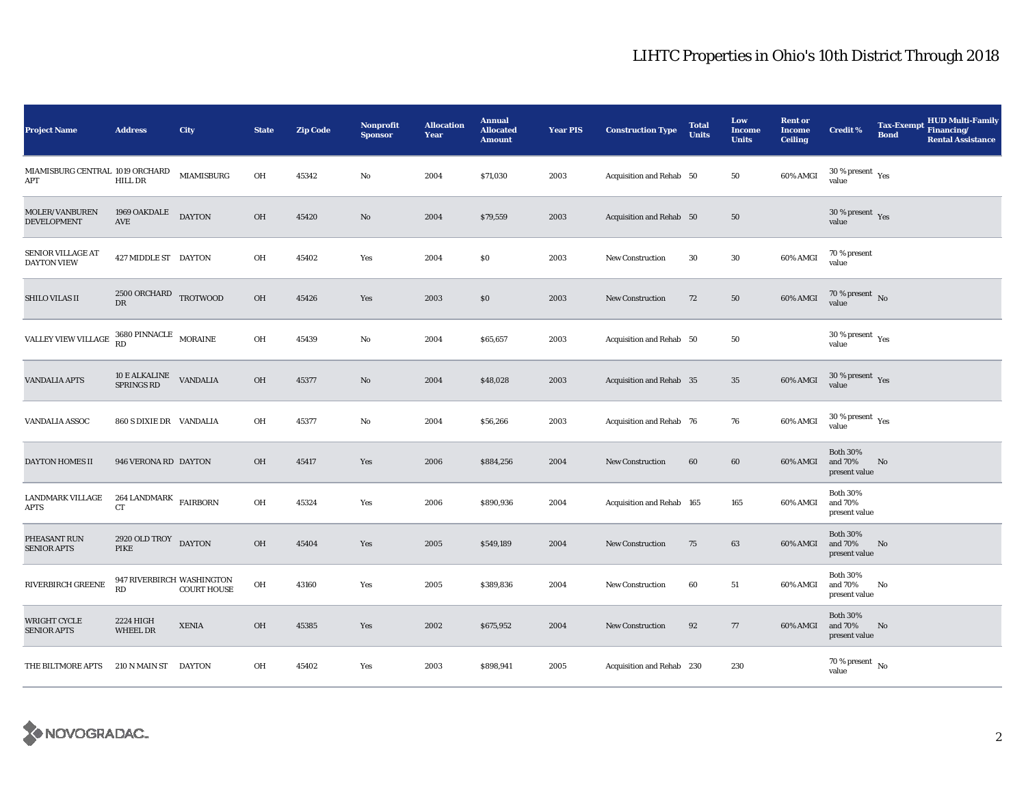| <b>Project Name</b>                       | <b>Address</b>                                                                       | City               | <b>State</b> | <b>Zip Code</b> | <b>Nonprofit</b><br><b>Sponsor</b> | <b>Allocation</b><br>Year | <b>Annual</b><br><b>Allocated</b><br><b>Amount</b> | <b>Year PIS</b> | <b>Construction Type</b>  | <b>Total</b><br><b>Units</b> | Low<br><b>Income</b><br><b>Units</b> | <b>Rent or</b><br><b>Income</b><br><b>Ceiling</b> | <b>Credit %</b>                                      | <b>Tax-Exempt</b><br><b>Bond</b> | <b>HUD Multi-Family</b><br>Financing/<br><b>Rental Assistance</b> |
|-------------------------------------------|--------------------------------------------------------------------------------------|--------------------|--------------|-----------------|------------------------------------|---------------------------|----------------------------------------------------|-----------------|---------------------------|------------------------------|--------------------------------------|---------------------------------------------------|------------------------------------------------------|----------------------------------|-------------------------------------------------------------------|
| MIAMISBURG CENTRAL 1019 ORCHARD<br>APT    | HILL DR                                                                              | <b>MIAMISBURG</b>  | OH           | 45342           | No                                 | 2004                      | \$71,030                                           | 2003            | Acquisition and Rehab 50  |                              | 50                                   | 60% AMGI                                          | $30$ % present $\,$ $\rm Yes$<br>value               |                                  |                                                                   |
| MOLER/VANBUREN<br>DEVELOPMENT             | 1969 OAKDALE<br>AVE                                                                  | <b>DAYTON</b>      | OH           | 45420           | No                                 | 2004                      | \$79,559                                           | 2003            | Acquisition and Rehab 50  |                              | 50                                   |                                                   | $30\,\%$ present $\,$ $\rm Yes$<br>value             |                                  |                                                                   |
| SENIOR VILLAGE AT<br><b>DAYTON VIEW</b>   | 427 MIDDLE ST DAYTON                                                                 |                    | OH           | 45402           | Yes                                | 2004                      | \$0                                                | 2003            | New Construction          | 30                           | 30                                   | 60% AMGI                                          | 70 % present<br>value                                |                                  |                                                                   |
| SHILO VILAS II                            | $2500$ ORCHARD $\quad$ TROTWOOD<br>DR                                                |                    | OH           | 45426           | Yes                                | 2003                      | \$0                                                | 2003            | <b>New Construction</b>   | 72                           | 50                                   | 60% AMGI                                          | 70 % present $\,$ No $\,$<br>value                   |                                  |                                                                   |
| VALLEY VIEW VILLAGE                       | $3680$ $\sf PINNACLE$ $\sf MORAINE$ $\sf RD$                                         |                    | OH           | 45439           | No                                 | 2004                      | \$65,657                                           | 2003            | Acquisition and Rehab 50  |                              | 50                                   |                                                   | 30 % present $\rm\thinspace\gamma_{\rm es}$<br>value |                                  |                                                                   |
| <b>VANDALIA APTS</b>                      | $\begin{tabular}{ll} \bf 10 E ALKALINE & VANDALIA \\ \bf SPRINGS RD & \end{tabular}$ |                    | OH           | 45377           | $\mathbf{N}\mathbf{o}$             | 2004                      | \$48,028                                           | 2003            | Acquisition and Rehab 35  |                              | $35\,$                               | 60% AMGI                                          | $30\,\%$ present $\,$ Yes value                      |                                  |                                                                   |
| VANDALIA ASSOC                            | 860 S DIXIE DR VANDALIA                                                              |                    | OH           | 45377           | No                                 | 2004                      | \$56,266                                           | 2003            | Acquisition and Rehab 76  |                              | 76                                   | 60% AMGI                                          | $30\,\%$ present $\,$ Yes value                      |                                  |                                                                   |
| DAYTON HOMES II                           | 946 VERONA RD DAYTON                                                                 |                    | OH           | 45417           | Yes                                | 2006                      | \$884,256                                          | 2004            | <b>New Construction</b>   | 60                           | 60                                   | 60% AMGI                                          | <b>Both 30%</b><br>and 70%<br>present value          | No                               |                                                                   |
| <b>LANDMARK VILLAGE</b><br><b>APTS</b>    | 264 LANDMARK $$\rm FAIRBORN$$<br>CT                                                  |                    | OH           | 45324           | Yes                                | 2006                      | \$890,936                                          | 2004            | Acquisition and Rehab 165 |                              | 165                                  | 60% AMGI                                          | <b>Both 30%</b><br>and 70%<br>present value          |                                  |                                                                   |
| PHEASANT RUN<br><b>SENIOR APTS</b>        | 2920 OLD TROY DAYTON<br><b>PIKE</b>                                                  |                    | OH           | 45404           | Yes                                | 2005                      | \$549,189                                          | 2004            | <b>New Construction</b>   | 75                           | 63                                   | 60% AMGI                                          | <b>Both 30%</b><br>and 70%<br>present value          | No                               |                                                                   |
| RIVERBIRCH GREENE                         | 947 RIVERBIRCH WASHINGTON<br>RD                                                      | <b>COURT HOUSE</b> | OH           | 43160           | Yes                                | 2005                      | \$389,836                                          | 2004            | <b>New Construction</b>   | 60                           | 51                                   | 60% AMGI                                          | <b>Both 30%</b><br>and 70%<br>present value          | No                               |                                                                   |
| <b>WRIGHT CYCLE</b><br><b>SENIOR APTS</b> | 2224 HIGH<br>WHEEL DR                                                                | <b>XENIA</b>       | OH           | 45385           | Yes                                | 2002                      | \$675,952                                          | 2004            | <b>New Construction</b>   | 92                           | 77                                   | 60% AMGI                                          | <b>Both 30%</b><br>and 70%<br>present value          | No                               |                                                                   |
| THE BILTMORE APTS                         | 210 N MAIN ST                                                                        | DAYTON             | OH           | 45402           | Yes                                | 2003                      | \$898,941                                          | 2005            | Acquisition and Rehab 230 |                              | 230                                  |                                                   | $70$ % present $\,$ No $\,$<br>value                 |                                  |                                                                   |

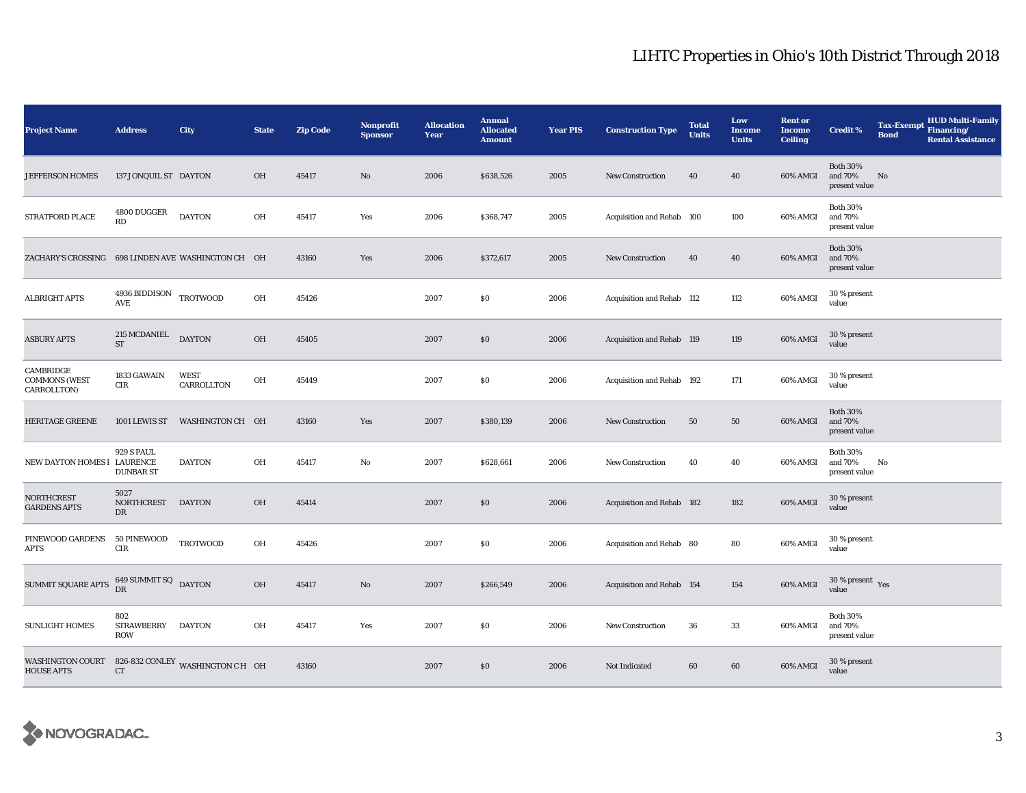| <b>Project Name</b>                              | <b>Address</b>                          | City                             | <b>State</b> | <b>Zip Code</b> | <b>Nonprofit</b><br><b>Sponsor</b> | <b>Allocation</b><br>Year | <b>Annual</b><br><b>Allocated</b><br><b>Amount</b> | <b>Year PIS</b> | <b>Construction Type</b>  | <b>Total</b><br><b>Units</b> | Low<br><b>Income</b><br><b>Units</b> | <b>Rent or</b><br><b>Income</b><br><b>Ceiling</b> | <b>Credit %</b>                             | <b>Tax-Exempt</b><br><b>Bond</b> | HUD Multi-Family<br>Financing/<br><b>Rental Assistance</b> |
|--------------------------------------------------|-----------------------------------------|----------------------------------|--------------|-----------------|------------------------------------|---------------------------|----------------------------------------------------|-----------------|---------------------------|------------------------------|--------------------------------------|---------------------------------------------------|---------------------------------------------|----------------------------------|------------------------------------------------------------|
| <b>JEFFERSON HOMES</b>                           | 137 JONQUIL ST DAYTON                   |                                  | OH           | 45417           | $\mathbf{N}\mathbf{o}$             | 2006                      | \$638,526                                          | 2005            | New Construction          | 40                           | 40                                   | 60% AMGI                                          | <b>Both 30%</b><br>and 70%<br>present value | No                               |                                                            |
| STRATFORD PLACE                                  | 4800 DUGGER<br>RD                       | <b>DAYTON</b>                    | OH           | 45417           | Yes                                | 2006                      | \$368,747                                          | 2005            | Acquisition and Rehab 100 |                              | 100                                  | 60% AMGI                                          | <b>Both 30%</b><br>and 70%<br>present value |                                  |                                                            |
| <b>ZACHARY'S CROSSING</b>                        |                                         | 698 LINDEN AVE WASHINGTON CH OH  |              | 43160           | Yes                                | 2006                      | \$372,617                                          | 2005            | <b>New Construction</b>   | 40                           | 40                                   | 60% AMGI                                          | <b>Both 30%</b><br>and 70%<br>present value |                                  |                                                            |
| ALBRIGHT APTS                                    | $4936$ BIDDISON $\quad$ TROTWOOD<br>AVE |                                  | OH           | 45426           |                                    | 2007                      | \$0                                                | 2006            | Acquisition and Rehab 112 |                              | 112                                  | 60% AMGI                                          | 30 % present<br>value                       |                                  |                                                            |
| <b>ASBURY APTS</b>                               | 215 MCDANIEL<br>$\operatorname{ST}$     | <b>DAYTON</b>                    | OH           | 45405           |                                    | 2007                      | \$0                                                | 2006            | Acquisition and Rehab 119 |                              | 119                                  | 60% AMGI                                          | 30 % present<br>value                       |                                  |                                                            |
| CAMBRIDGE<br><b>COMMONS (WEST</b><br>CARROLLTON) | 1833 GAWAIN<br><b>CIR</b>               | WEST<br>CARROLLTON               | OH           | 45449           |                                    | 2007                      | \$0                                                | 2006            | Acquisition and Rehab 192 |                              | 171                                  | 60% AMGI                                          | 30 % present<br>value                       |                                  |                                                            |
| <b>HERITAGE GREENE</b>                           | 1001 LEWIS ST                           | WASHINGTON CH OH                 |              | 43160           | Yes                                | 2007                      | \$380,139                                          | 2006            | <b>New Construction</b>   | 50                           | 50                                   | 60% AMGI                                          | <b>Both 30%</b><br>and 70%<br>present value |                                  |                                                            |
| NEW DAYTON HOMES I LAURENCE                      | <b>929 S PAUL</b><br><b>DUNBAR ST</b>   | <b>DAYTON</b>                    | OH           | 45417           | No                                 | 2007                      | \$628,661                                          | 2006            | <b>New Construction</b>   | 40                           | 40                                   | 60% AMGI                                          | <b>Both 30%</b><br>and 70%<br>present value | No                               |                                                            |
| <b>NORTHCREST</b><br><b>GARDENS APTS</b>         | 5027<br>NORTHCREST DAYTON<br>DR         |                                  | OH           | 45414           |                                    | 2007                      | \$0                                                | 2006            | Acquisition and Rehab 182 |                              | 182                                  | 60% AMGI                                          | 30 % present<br>value                       |                                  |                                                            |
| PINEWOOD GARDENS<br>APTS                         | 50 PINEWOOD<br>$\rm CIR$                | TROTWOOD                         | OH           | 45426           |                                    | 2007                      | \$0                                                | 2006            | Acquisition and Rehab 80  |                              | 80                                   | 60% AMGI                                          | 30 % present<br>value                       |                                  |                                                            |
| SUMMIT SQUARE APTS                               | $649$ SUMMIT SQ $\,$ DAYTON DR          |                                  | OH           | 45417           | $\rm No$                           | 2007                      | \$266,549                                          | 2006            | Acquisition and Rehab 154 |                              | 154                                  | 60% AMGI                                          | $30$ % present $\,$ $\rm Yes$<br>value      |                                  |                                                            |
| <b>SUNLIGHT HOMES</b>                            | 802<br><b>STRAWBERRY</b><br><b>ROW</b>  | <b>DAYTON</b>                    | OH           | 45417           | Yes                                | 2007                      | \$0                                                | 2006            | <b>New Construction</b>   | 36                           | 33                                   | 60% AMGI                                          | <b>Both 30%</b><br>and 70%<br>present value |                                  |                                                            |
| <b>WASHINGTON COURT</b><br><b>HOUSE APTS</b>     | CT                                      | 826-832 CONLEY WASHINGTON C H OH |              | 43160           |                                    | 2007                      | \$0                                                | 2006            | Not Indicated             | 60                           | 60                                   | 60% AMGI                                          | 30 % present<br>value                       |                                  |                                                            |

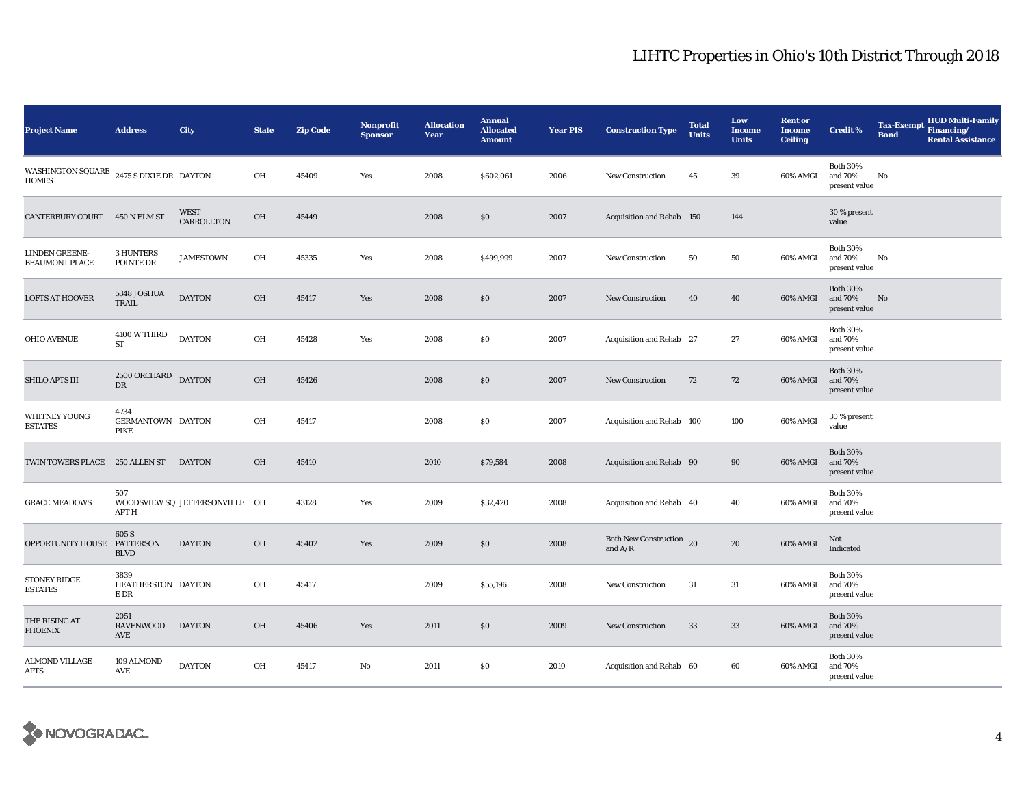| <b>Project Name</b>                                        | <b>Address</b>                     | City                           | <b>State</b> | <b>Zip Code</b> | Nonprofit<br><b>Sponsor</b> | <b>Allocation</b><br>Year | <b>Annual</b><br><b>Allocated</b><br><b>Amount</b> | <b>Year PIS</b> | <b>Construction Type</b>              | <b>Total</b><br><b>Units</b> | Low<br><b>Income</b><br><b>Units</b> | <b>Rent or</b><br><b>Income</b><br><b>Ceiling</b> | <b>Credit %</b>                             | <b>Tax-Exempt</b><br><b>Bond</b> | <b>HUD Multi-Family</b><br>Financing/<br><b>Rental Assistance</b> |
|------------------------------------------------------------|------------------------------------|--------------------------------|--------------|-----------------|-----------------------------|---------------------------|----------------------------------------------------|-----------------|---------------------------------------|------------------------------|--------------------------------------|---------------------------------------------------|---------------------------------------------|----------------------------------|-------------------------------------------------------------------|
| WASHINGTON SQUARE $2475$ S DIXIE DR DAYTON<br><b>HOMES</b> |                                    |                                | OH           | 45409           | Yes                         | 2008                      | \$602,061                                          | 2006            | <b>New Construction</b>               | 45                           | 39                                   | 60% AMGI                                          | <b>Both 30%</b><br>and 70%<br>present value | No                               |                                                                   |
| CANTERBURY COURT 450 N ELM ST                              |                                    | <b>WEST</b><br>CARROLLTON      | $OH$         | 45449           |                             | 2008                      | \$0                                                | 2007            | Acquisition and Rehab 150             |                              | 144                                  |                                                   | 30 % present<br>value                       |                                  |                                                                   |
| LINDEN GREENE-<br><b>BEAUMONT PLACE</b>                    | 3 HUNTERS<br>POINTE DR             | <b>JAMESTOWN</b>               | OH           | 45335           | Yes                         | 2008                      | \$499,999                                          | 2007            | <b>New Construction</b>               | 50                           | 50                                   | 60% AMGI                                          | <b>Both 30%</b><br>and 70%<br>present value | No                               |                                                                   |
| <b>LOFTS AT HOOVER</b>                                     | 5348 JOSHUA<br>TRAIL               | <b>DAYTON</b>                  | OH           | 45417           | Yes                         | 2008                      | \$0                                                | 2007            | <b>New Construction</b>               | 40                           | 40                                   | 60% AMGI                                          | <b>Both 30%</b><br>and 70%<br>present value | No                               |                                                                   |
| <b>OHIO AVENUE</b>                                         | 4100 W THIRD<br>ST                 | <b>DAYTON</b>                  | OH           | 45428           | Yes                         | 2008                      | \$0                                                | 2007            | Acquisition and Rehab 27              |                              | 27                                   | 60% AMGI                                          | <b>Both 30%</b><br>and 70%<br>present value |                                  |                                                                   |
| SHILO APTS III                                             | 2500 ORCHARD DAYTON<br>DR          |                                | OH           | 45426           |                             | 2008                      | \$0                                                | 2007            | New Construction                      | 72                           | 72                                   | 60% AMGI                                          | <b>Both 30%</b><br>and 70%<br>present value |                                  |                                                                   |
| WHITNEY YOUNG<br><b>ESTATES</b>                            | 4734<br>GERMANTOWN DAYTON<br>PIKE  |                                | OH           | 45417           |                             | 2008                      | \$0                                                | 2007            | Acquisition and Rehab 100             |                              | 100                                  | 60% AMGI                                          | 30 % present<br>value                       |                                  |                                                                   |
| <b>TWIN TOWERS PLACE</b>                                   | 250 ALLEN ST                       | <b>DAYTON</b>                  | OH           | 45410           |                             | 2010                      | \$79,584                                           | 2008            | Acquisition and Rehab 90              |                              | 90                                   | 60% AMGI                                          | <b>Both 30%</b><br>and 70%<br>present value |                                  |                                                                   |
| <b>GRACE MEADOWS</b>                                       | 507<br>APT H                       | WOODSVIEW SQ JEFFERSONVILLE OH |              | 43128           | Yes                         | 2009                      | \$32,420                                           | 2008            | Acquisition and Rehab 40              |                              | 40                                   | 60% AMGI                                          | <b>Both 30%</b><br>and 70%<br>present value |                                  |                                                                   |
| OPPORTUNITY HOUSE PATTERSON                                | 605 S<br><b>BLVD</b>               | <b>DAYTON</b>                  | OH           | 45402           | Yes                         | 2009                      | \$0                                                | 2008            | Both New Construction 20<br>and $A/R$ |                              | 20                                   | 60% AMGI                                          | Not<br>Indicated                            |                                  |                                                                   |
| STONEY RIDGE<br><b>ESTATES</b>                             | 3839<br>HEATHERSTON DAYTON<br>E DR |                                | OH           | 45417           |                             | 2009                      | \$55,196                                           | 2008            | <b>New Construction</b>               | 31                           | 31                                   | 60% AMGI                                          | <b>Both 30%</b><br>and 70%<br>present value |                                  |                                                                   |
| THE RISING AT<br><b>PHOENIX</b>                            | 2051<br>RAVENWOOD<br>AVE           | <b>DAYTON</b>                  | OH           | 45406           | Yes                         | 2011                      | \$0                                                | 2009            | New Construction                      | 33                           | 33                                   | 60% AMGI                                          | <b>Both 30%</b><br>and 70%<br>present value |                                  |                                                                   |
| <b>ALMOND VILLAGE</b><br>APTS                              | 109 ALMOND<br>AVE                  | <b>DAYTON</b>                  | OH           | 45417           | No                          | 2011                      | \$0\$                                              | 2010            | Acquisition and Rehab 60              |                              | 60                                   | 60% AMGI                                          | <b>Both 30%</b><br>and 70%<br>present value |                                  |                                                                   |

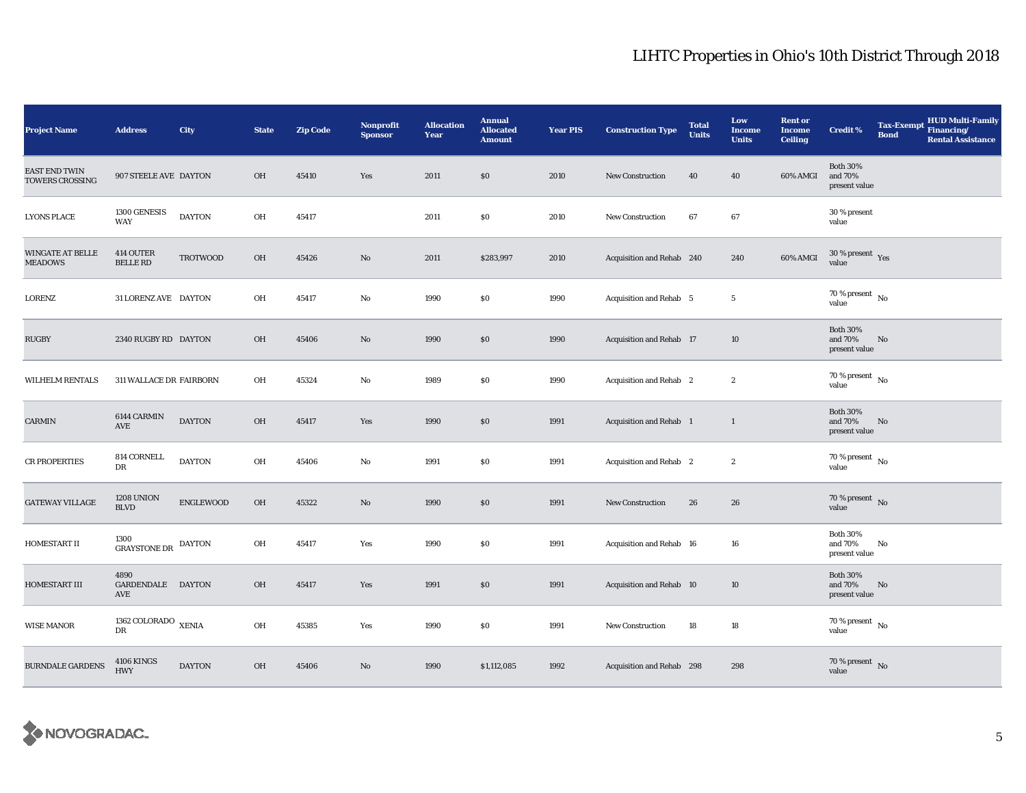| <b>Project Name</b>                            | <b>Address</b>                        | City          | <b>State</b> | <b>Zip Code</b> | Nonprofit<br><b>Sponsor</b> | <b>Allocation</b><br><b>Year</b> | <b>Annual</b><br><b>Allocated</b><br><b>Amount</b> | <b>Year PIS</b> | <b>Construction Type</b>       | <b>Total</b><br><b>Units</b> | Low<br><b>Income</b><br><b>Units</b> | <b>Rent or</b><br><b>Income</b><br><b>Ceiling</b> | <b>Credit %</b>                             | <b>Tax-Exempt</b><br><b>Bond</b> | HUD Multi-Family<br>Financing/<br><b>Rental Assistance</b> |
|------------------------------------------------|---------------------------------------|---------------|--------------|-----------------|-----------------------------|----------------------------------|----------------------------------------------------|-----------------|--------------------------------|------------------------------|--------------------------------------|---------------------------------------------------|---------------------------------------------|----------------------------------|------------------------------------------------------------|
| <b>EAST END TWIN</b><br><b>TOWERS CROSSING</b> | 907 STEELE AVE DAYTON                 |               | OH           | 45410           | Yes                         | 2011                             | $\$0$                                              | 2010            | New Construction               | 40                           | 40                                   | 60% AMGI                                          | <b>Both 30%</b><br>and 70%<br>present value |                                  |                                                            |
| <b>LYONS PLACE</b>                             | 1300 GENESIS<br>WAY                   | <b>DAYTON</b> | OH           | 45417           |                             | 2011                             | \$0                                                | 2010            | <b>New Construction</b>        | 67                           | 67                                   |                                                   | 30 % present<br>value                       |                                  |                                                            |
| <b>WINGATE AT BELLE</b><br><b>MEADOWS</b>      | 414 OUTER<br><b>BELLE RD</b>          | TROTWOOD      | OH           | 45426           | No                          | 2011                             | \$283,997                                          | 2010            | Acquisition and Rehab 240      |                              | 240                                  | 60% AMGI                                          | $30\,\%$ present $\,$ Yes value             |                                  |                                                            |
| LORENZ                                         | 31 LORENZ AVE DAYTON                  |               | OH           | 45417           | $\mathbf{No}$               | 1990                             | \$0                                                | 1990            | <b>Acquisition and Rehab</b> 5 |                              | $\sqrt{5}$                           |                                                   | 70 % present $\hbox{~No}$<br>value          |                                  |                                                            |
| <b>RUGBY</b>                                   | 2340 RUGBY RD DAYTON                  |               | <b>OH</b>    | 45406           | No                          | 1990                             | \$0                                                | 1990            | Acquisition and Rehab 17       |                              | 10                                   |                                                   | <b>Both 30%</b><br>and 70%<br>present value | $\mathbf{N}\mathbf{o}$           |                                                            |
| <b>WILHELM RENTALS</b>                         | 311 WALLACE DR FAIRBORN               |               | OH           | 45324           | No                          | 1989                             | $\$0$                                              | 1990            | Acquisition and Rehab 2        |                              | $\boldsymbol{2}$                     |                                                   | 70 % present $\,$ No $\,$<br>value          |                                  |                                                            |
| <b>CARMIN</b>                                  | 6144 CARMIN<br>AVE                    | <b>DAYTON</b> | OH           | 45417           | Yes                         | 1990                             | \$0                                                | 1991            | Acquisition and Rehab 1        |                              | 1                                    |                                                   | <b>Both 30%</b><br>and 70%<br>present value | No                               |                                                            |
| <b>CR PROPERTIES</b>                           | 814 CORNELL<br>DR                     | <b>DAYTON</b> | OH           | 45406           | No                          | 1991                             | \$0                                                | 1991            | Acquisition and Rehab 2        |                              | $\boldsymbol{2}$                     |                                                   | $70$ % present $\,$ No $\,$<br>value        |                                  |                                                            |
| <b>GATEWAY VILLAGE</b>                         | <b>1208 UNION</b><br><b>BLVD</b>      | ENGLEWOOD     | OH           | 45322           | No                          | 1990                             | \$0                                                | 1991            | New Construction               | 26                           | 26                                   |                                                   | 70 % present $\hbox{~No}$<br>value          |                                  |                                                            |
| HOMESTART II                                   | 1300<br>$\mbox{GRAYSTONE\,DR}$ DAYTON |               | OH           | 45417           | Yes                         | 1990                             | $\$0$                                              | 1991            | Acquisition and Rehab 16       |                              | 16                                   |                                                   | <b>Both 30%</b><br>and 70%<br>present value | No                               |                                                            |
| HOMESTART III                                  | 4890<br>GARDENDALE DAYTON<br>AVE      |               | <b>OH</b>    | 45417           | Yes                         | 1991                             | $\$0$                                              | 1991            | Acquisition and Rehab 10       |                              | 10                                   |                                                   | <b>Both 30%</b><br>and 70%<br>present value | No                               |                                                            |
| <b>WISE MANOR</b>                              | 1362 COLORADO $\,$ XENIA<br>DR        |               | OH           | 45385           | Yes                         | 1990                             | \$0                                                | 1991            | <b>New Construction</b>        | 18                           | 18                                   |                                                   | $70$ % present $\,$ No $\,$<br>value        |                                  |                                                            |
| <b>BURNDALE GARDENS</b>                        | <b>4106 KINGS</b><br><b>HWY</b>       | <b>DAYTON</b> | OH           | 45406           | No                          | 1990                             | \$1,112,085                                        | 1992            | Acquisition and Rehab 298      |                              | 298                                  |                                                   | 70 % present $\overline{N}$<br>value        |                                  |                                                            |

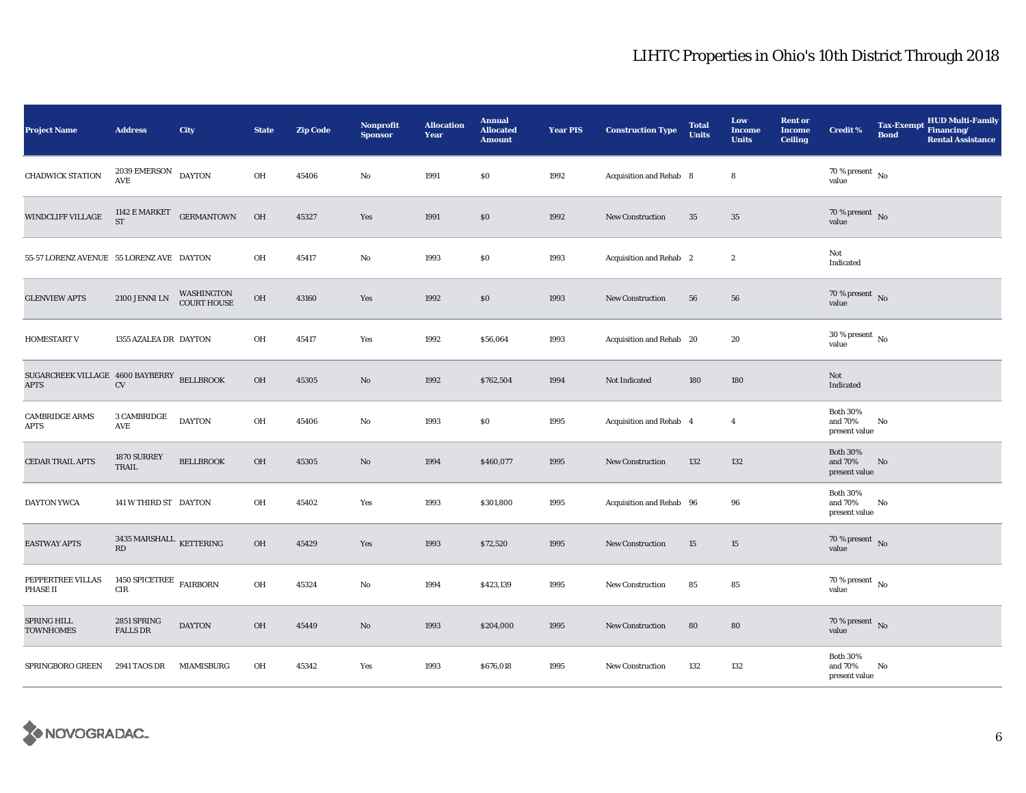| <b>Project Name</b>                                       | <b>Address</b>                                                 | City                        | <b>State</b> | <b>Zip Code</b> | <b>Nonprofit</b><br><b>Sponsor</b> | <b>Allocation</b><br>Year | <b>Annual</b><br><b>Allocated</b><br><b>Amount</b> | <b>Year PIS</b> | <b>Construction Type</b> | <b>Total</b><br><b>Units</b> | Low<br><b>Income</b><br><b>Units</b> | <b>Rent or</b><br><b>Income</b><br><b>Ceiling</b> | <b>Credit %</b>                             | <b>Bond</b> | <b>HUD Multi-Family</b><br>Tax-Exempt Financing/<br><b>Rental Assistance</b> |
|-----------------------------------------------------------|----------------------------------------------------------------|-----------------------------|--------------|-----------------|------------------------------------|---------------------------|----------------------------------------------------|-----------------|--------------------------|------------------------------|--------------------------------------|---------------------------------------------------|---------------------------------------------|-------------|------------------------------------------------------------------------------|
| <b>CHADWICK STATION</b>                                   | $2039 \mbox{ EMERSON}$ DAYTON<br>$\operatorname{\mathsf{AVE}}$ |                             | OH           | 45406           | $\rm No$                           | 1991                      | \$0                                                | 1992            | Acquisition and Rehab 8  |                              | 8                                    |                                                   | $70\,\%$ present $\,$ No value              |             |                                                                              |
| WINDCLIFF VILLAGE                                         |                                                                | 1142 E MARKET GERMANTOWN ST | OH           | 45327           | Yes                                | 1991                      | $\$0$                                              | 1992            | <b>New Construction</b>  | 35                           | 35                                   |                                                   | $70$ % present $\,$ No $\,$<br>value        |             |                                                                              |
| 55-57 LORENZ AVENUE 55 LORENZ AVE DAYTON                  |                                                                |                             | OH           | 45417           | $\mathbf{No}$                      | 1993                      | $\$0$                                              | 1993            | Acquisition and Rehab 2  |                              | $\boldsymbol{2}$                     |                                                   | Not<br>Indicated                            |             |                                                                              |
| <b>GLENVIEW APTS</b>                                      | 2100 JENNI LN                                                  | WASHINGTON<br>COURT HOUSE   | $_{\rm OH}$  | 43160           | Yes                                | 1992                      | \$0                                                | 1993            | <b>New Construction</b>  | 56                           | 56                                   |                                                   | $70$ % present $${\rm No}$$ value           |             |                                                                              |
| <b>HOMESTART V</b>                                        | 1355 AZALEA DR DAYTON                                          |                             | OH           | 45417           | Yes                                | 1992                      | \$56,064                                           | 1993            | Acquisition and Rehab 20 |                              | 20                                   |                                                   | $30\,\%$ present $\,$ No value              |             |                                                                              |
| SUGARCREEK VILLAGE 4600 BAYBERRY BELLBROOK<br><b>APTS</b> | ${\rm CV}$                                                     |                             | OH           | 45305           | $\mathbf{No}$                      | 1992                      | \$762,504                                          | 1994            | Not Indicated            | 180                          | 180                                  |                                                   | Not<br>Indicated                            |             |                                                                              |
| <b>CAMBRIDGE ARMS</b><br>APTS                             | 3 CAMBRIDGE<br>AVE                                             | <b>DAYTON</b>               | OH           | 45406           | $\mathbf{No}$                      | 1993                      | $\$0$                                              | 1995            | Acquisition and Rehab 4  |                              | $\overline{4}$                       |                                                   | <b>Both 30%</b><br>and 70%<br>present value | No          |                                                                              |
| <b>CEDAR TRAIL APTS</b>                                   | 1870 SURREY<br>TRAIL                                           | <b>BELLBROOK</b>            | OH           | 45305           | No                                 | 1994                      | \$460,077                                          | 1995            | New Construction         | 132                          | 132                                  |                                                   | <b>Both 30%</b><br>and 70%<br>present value | No          |                                                                              |
| DAYTON YWCA                                               | 141 W THIRD ST DAYTON                                          |                             | OH           | 45402           | Yes                                | 1993                      | \$301,800                                          | 1995            | Acquisition and Rehab 96 |                              | 96                                   |                                                   | <b>Both 30%</b><br>and 70%<br>present value | No          |                                                                              |
| <b>EASTWAY APTS</b>                                       | 3435 MARSHALL $$\tt KETTERING$$<br>RD                          |                             | OH           | 45429           | Yes                                | 1993                      | \$72,520                                           | 1995            | New Construction         | 15                           | 15                                   |                                                   | $70\%$ present No<br>value                  |             |                                                                              |
| PEPPERTREE VILLAS<br>PHASE II                             | 1450 SPICETREE $$\tt FAIRBORN$$<br>$\rm CIR$                   |                             | OH           | 45324           | No                                 | 1994                      | \$423,139                                          | 1995            | <b>New Construction</b>  | 85                           | 85                                   |                                                   | $70$ % present $\,$ No $\,$<br>value        |             |                                                                              |
| SPRING HILL<br><b>TOWNHOMES</b>                           | 2851 SPRING<br><b>FALLS DR</b>                                 | <b>DAYTON</b>               | OH           | 45449           | No                                 | 1993                      | \$204,000                                          | 1995            | New Construction         | 80                           | 80                                   |                                                   | 70 % present $\,$ No $\,$<br>value          |             |                                                                              |
| SPRINGBORO GREEN                                          | 2941 TAOS DR                                                   | MIAMISBURG                  | OH           | 45342           | Yes                                | 1993                      | \$676,018                                          | 1995            | <b>New Construction</b>  | 132                          | 132                                  |                                                   | <b>Both 30%</b><br>and 70%<br>present value | No          |                                                                              |

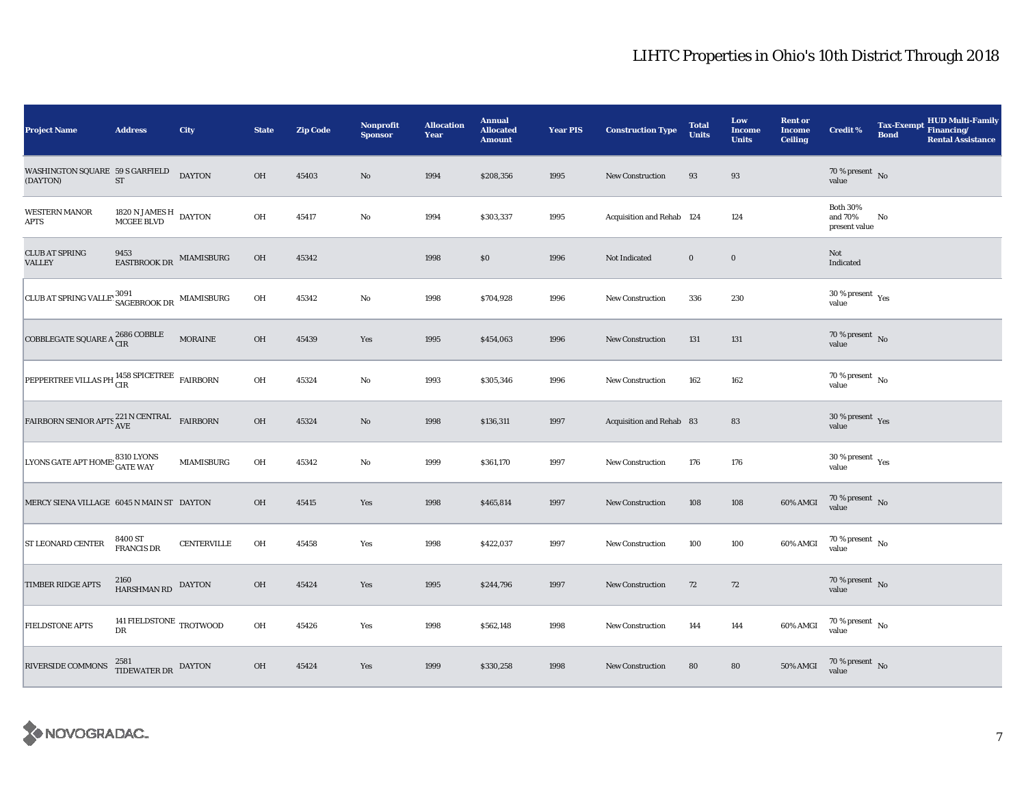| <b>Project Name</b>                                                | <b>Address</b>                                    | City               | <b>State</b> | <b>Zip Code</b> | <b>Nonprofit</b><br><b>Sponsor</b> | <b>Allocation</b><br>Year | <b>Annual</b><br><b>Allocated</b><br><b>Amount</b> | <b>Year PIS</b> | <b>Construction Type</b>  | <b>Total</b><br><b>Units</b> | Low<br><b>Income</b><br><b>Units</b> | <b>Rent or</b><br><b>Income</b><br><b>Ceiling</b> | <b>Credit %</b>                             | <b>Tax-Exempt</b><br><b>Bond</b> | <b>HUD Multi-Family</b><br>Financing/<br><b>Rental Assistance</b> |
|--------------------------------------------------------------------|---------------------------------------------------|--------------------|--------------|-----------------|------------------------------------|---------------------------|----------------------------------------------------|-----------------|---------------------------|------------------------------|--------------------------------------|---------------------------------------------------|---------------------------------------------|----------------------------------|-------------------------------------------------------------------|
| WASHINGTON SQUARE 59 S GARFIELD<br>(DAYTON)                        | ST                                                | <b>DAYTON</b>      | <b>OH</b>    | 45403           | No                                 | 1994                      | \$208,356                                          | 1995            | <b>New Construction</b>   | 93                           | 93                                   |                                                   | $70$ % present $\,$ No value                |                                  |                                                                   |
| <b>WESTERN MANOR</b><br><b>APTS</b>                                | $1820$ N JAMES H $\,$ DAYTON MCGEE BLVD           |                    | OH           | 45417           | $\mathbf{No}$                      | 1994                      | \$303,337                                          | 1995            | Acquisition and Rehab 124 |                              | 124                                  |                                                   | <b>Both 30%</b><br>and 70%<br>present value | No                               |                                                                   |
| <b>CLUB AT SPRING</b><br><b>VALLEY</b>                             | 9453<br>EASTBROOK DR MIAMISBURG                   |                    | <b>OH</b>    | 45342           |                                    | 1998                      | \$0                                                | 1996            | Not Indicated             | $\mathbf 0$                  | $\bf{0}$                             |                                                   | Not<br>Indicated                            |                                  |                                                                   |
| CLUB AT SPRING VALLE' ${}^{3091}_{\bf SAGEBROOK \, DR}$ MIAMISBURG |                                                   |                    | OH           | 45342           | $\rm No$                           | 1998                      | \$704,928                                          | 1996            | New Construction          | 336                          | 230                                  |                                                   | $30$ % present $\,$ $\rm Yes$<br>value      |                                  |                                                                   |
| COBBLEGATE SQUARE A $_{\rm CIR}^{2686\rm\,COBBLE}$                 |                                                   | <b>MORAINE</b>     | OH           | 45439           | Yes                                | 1995                      | \$454,063                                          | 1996            | New Construction          | 131                          | 131                                  |                                                   | $70$ % present $$\rm \, No$$ value          |                                  |                                                                   |
| PEPPERTREE VILLAS PH CIR FAIRBORN                                  |                                                   |                    | OH           | 45324           | $\mathbf {No}$                     | 1993                      | \$305,346                                          | 1996            | New Construction          | 162                          | 162                                  |                                                   | 70 % present $\hbox{~No}$<br>value          |                                  |                                                                   |
| FAIRBORN SENIOR APTS $^{221}$ N CENTRAL FAIRBORN                   |                                                   |                    | OH           | 45324           | $\mathbf{N}\mathbf{o}$             | 1998                      | \$136,311                                          | 1997            | Acquisition and Rehab 83  |                              | 83                                   |                                                   | $30\,\%$ present $\,$ Yes value             |                                  |                                                                   |
| LYONS GATE APT HOME 8310 LYONS<br>GATE WAY                         |                                                   | MIAMISBURG         | OH           | 45342           | $\rm No$                           | 1999                      | \$361,170                                          | 1997            | <b>New Construction</b>   | 176                          | 176                                  |                                                   | $30\,\%$ present $\,$ Yes value             |                                  |                                                                   |
| MERCY SIENA VILLAGE 6045 N MAIN ST DAYTON                          |                                                   |                    | <b>OH</b>    | 45415           | Yes                                | 1998                      | \$465,814                                          | 1997            | New Construction          | 108                          | 108                                  | 60% AMGI                                          | $70$ % present $\,$ No value                |                                  |                                                                   |
| <b>ST LEONARD CENTER</b>                                           | 8400 ST<br><b>FRANCIS DR</b>                      | <b>CENTERVILLE</b> | OH           | 45458           | Yes                                | 1998                      | \$422,037                                          | 1997            | New Construction          | 100                          | 100                                  | 60% AMGI                                          | $70$ % present $\,$ No $\,$<br>value        |                                  |                                                                   |
| <b>TIMBER RIDGE APTS</b>                                           | 2160<br>HARSHMAN RD                               | <b>DAYTON</b>      | OH           | 45424           | Yes                                | 1995                      | \$244,796                                          | 1997            | New Construction          | 72                           | 72                                   |                                                   | 70 % present $\hbox{~No}$<br>value          |                                  |                                                                   |
| <b>FIELDSTONE APTS</b>                                             | 141 FIELDSTONE TROTWOOD<br>$\mathbf{D}\mathbf{R}$ |                    | OH           | 45426           | Yes                                | 1998                      | \$562,148                                          | 1998            | <b>New Construction</b>   | 144                          | 144                                  | 60% AMGI                                          | $70$ % present $\,$ No value                |                                  |                                                                   |
| RIVERSIDE COMMONS                                                  | $^{2581}_{\rm TIDEWATER\ DR}$ DAYTON              |                    | OH           | 45424           | Yes                                | 1999                      | \$330,258                                          | 1998            | <b>New Construction</b>   | 80                           | 80                                   | 50% AMGI                                          | $70\,\%$ present $\,$ No value              |                                  |                                                                   |

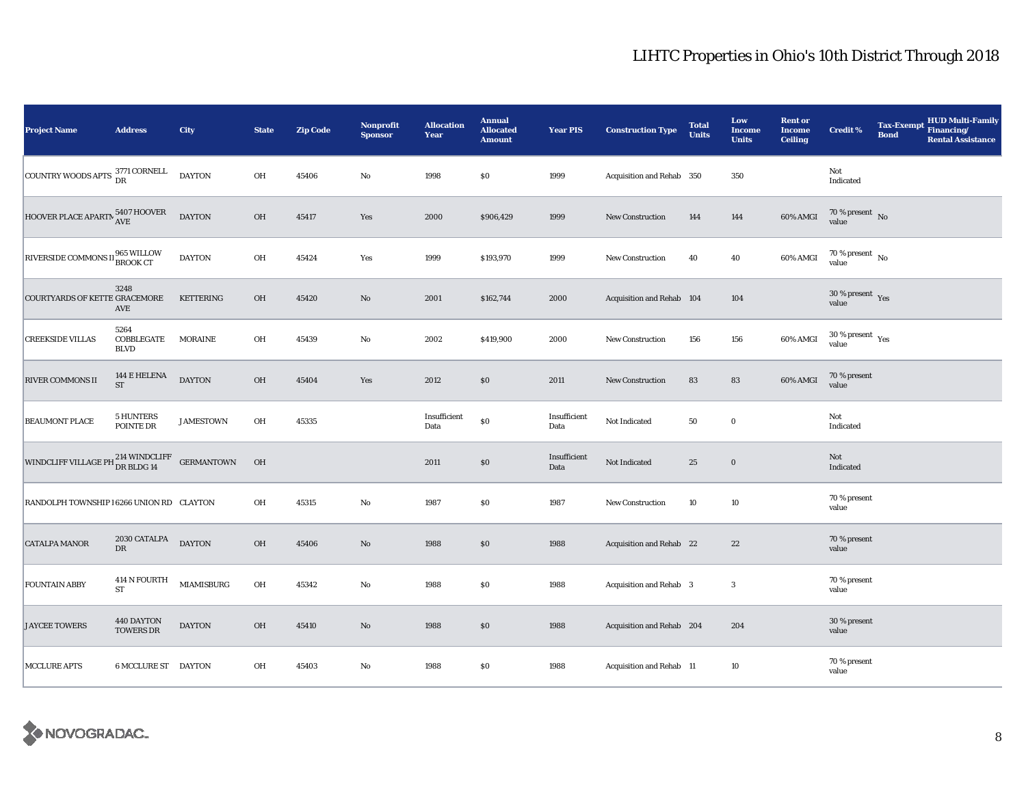| <b>Project Name</b>                           | <b>Address</b>                    | City              | <b>State</b> | <b>Zip Code</b> | <b>Nonprofit</b><br><b>Sponsor</b> | <b>Allocation</b><br>Year | <b>Annual</b><br><b>Allocated</b><br><b>Amount</b> | <b>Year PIS</b>      | <b>Construction Type</b>  | <b>Total</b><br><b>Units</b> | Low<br><b>Income</b><br><b>Units</b> | <b>Rent or</b><br><b>Income</b><br><b>Ceiling</b> | <b>Credit %</b>                              | <b>Tax-Exempt</b><br><b>Bond</b> | HUD Multi-Family<br>Financing/<br><b>Rental Assistance</b> |
|-----------------------------------------------|-----------------------------------|-------------------|--------------|-----------------|------------------------------------|---------------------------|----------------------------------------------------|----------------------|---------------------------|------------------------------|--------------------------------------|---------------------------------------------------|----------------------------------------------|----------------------------------|------------------------------------------------------------|
| COUNTRY WOODS APTS 3771 CORNELL               |                                   | <b>DAYTON</b>     | OH           | 45406           | $\rm No$                           | 1998                      | \$0                                                | 1999                 | Acquisition and Rehab 350 |                              | 350                                  |                                                   | Not<br>Indicated                             |                                  |                                                            |
| HOOVER PLACE APARTN 5407 HOOVER               |                                   | <b>DAYTON</b>     | $OH$         | 45417           | Yes                                | 2000                      | \$906,429                                          | 1999                 | <b>New Construction</b>   | 144                          | 144                                  | 60% AMGI                                          | 70 % present $\,$ No $\,$<br>value           |                                  |                                                            |
| RIVERSIDE COMMONS II BROOK CT                 |                                   | <b>DAYTON</b>     | OH           | 45424           | Yes                                | 1999                      | \$193,970                                          | 1999                 | New Construction          | 40                           | 40                                   | 60% AMGI                                          | $70\,\%$ present $\,$ No value               |                                  |                                                            |
| <b>COURTYARDS OF KETTE GRACEMORE</b>          | 3248<br>AVE                       | <b>KETTERING</b>  | OH           | 45420           | $\rm No$                           | 2001                      | \$162,744                                          | 2000                 | Acquisition and Rehab 104 |                              | 104                                  |                                                   | $30\,\%$ present $\,$ Yes value              |                                  |                                                            |
| <b>CREEKSIDE VILLAS</b>                       | 5264<br>COBBLEGATE<br><b>BLVD</b> | <b>MORAINE</b>    | OH           | 45439           | No                                 | 2002                      | \$419,900                                          | 2000                 | <b>New Construction</b>   | 156                          | 156                                  | 60% AMGI                                          | $30$ % present $\rm\thinspace\,Yes$<br>value |                                  |                                                            |
| <b>RIVER COMMONS II</b>                       | 144 E HELENA<br>ST                | <b>DAYTON</b>     | OH           | 45404           | Yes                                | 2012                      | \$0                                                | 2011                 | New Construction          | 83                           | 83                                   | 60% AMGI                                          | 70 % present<br>value                        |                                  |                                                            |
| <b>BEAUMONT PLACE</b>                         | 5 HUNTERS<br>POINTE DR            | <b>JAMESTOWN</b>  | OH           | 45335           |                                    | Insufficient<br>Data      | $\$0$                                              | Insufficient<br>Data | Not Indicated             | 50                           | $\bf{0}$                             |                                                   | Not<br>Indicated                             |                                  |                                                            |
| WINDCLIFF VILLAGE PH <sup>214</sup> WINDCLIFF |                                   | <b>GERMANTOWN</b> | OH           |                 |                                    | 2011                      | $\$0$                                              | Insufficient<br>Data | Not Indicated             | 25                           | $\boldsymbol{0}$                     |                                                   | Not<br>Indicated                             |                                  |                                                            |
| RANDOLPH TOWNSHIP 16266 UNION RD CLAYTON      |                                   |                   | OH           | 45315           | $\rm No$                           | 1987                      | $\$0$                                              | 1987                 | New Construction          | 10                           | $10\,$                               |                                                   | 70 % present<br>value                        |                                  |                                                            |
| <b>CATALPA MANOR</b>                          | 2030 CATALPA<br>DR                | <b>DAYTON</b>     | OH           | 45406           | $\rm No$                           | 1988                      | $\$0$                                              | 1988                 | Acquisition and Rehab 22  |                              | 22                                   |                                                   | 70 % present<br>value                        |                                  |                                                            |
| <b>FOUNTAIN ABBY</b>                          | 414 N FOURTH<br><b>ST</b>         | <b>MIAMISBURG</b> | OH           | 45342           | $\rm No$                           | 1988                      | $\$0$                                              | 1988                 | Acquisition and Rehab 3   |                              | $\boldsymbol{3}$                     |                                                   | 70 % present<br>value                        |                                  |                                                            |
| <b>JAYCEE TOWERS</b>                          | 440 DAYTON<br><b>TOWERS DR</b>    | <b>DAYTON</b>     | OH           | 45410           | $\rm No$                           | 1988                      | $\$0$                                              | 1988                 | Acquisition and Rehab 204 |                              | 204                                  |                                                   | 30 % present<br>value                        |                                  |                                                            |
| <b>MCCLURE APTS</b>                           | <b>6 MCCLURE ST DAYTON</b>        |                   | OH           | 45403           | $\rm No$                           | 1988                      | \$0                                                | 1988                 | Acquisition and Rehab 11  |                              | 10                                   |                                                   | 70 % present<br>value                        |                                  |                                                            |

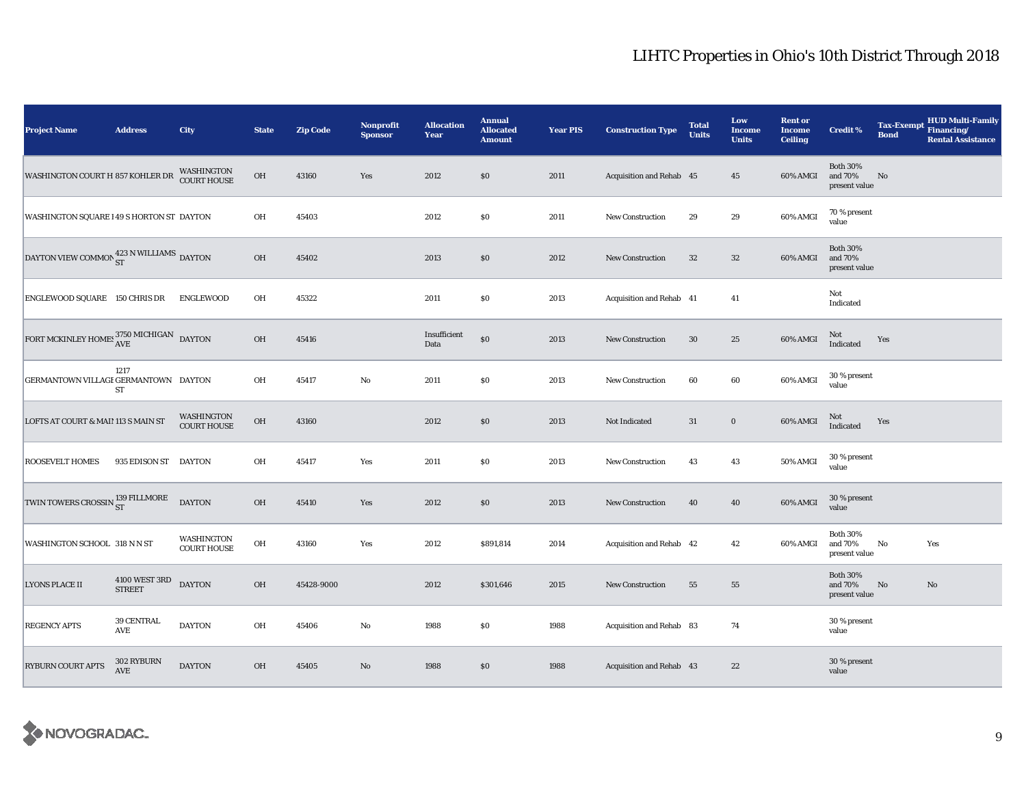| <b>Project Name</b>                                                   | <b>Address</b>                 | City                             | <b>State</b> | <b>Zip Code</b> | Nonprofit<br><b>Sponsor</b> | <b>Allocation</b><br>Year | <b>Annual</b><br><b>Allocated</b><br><b>Amount</b> | <b>Year PIS</b> | <b>Construction Type</b> | <b>Total</b><br><b>Units</b> | Low<br>Income<br><b>Units</b> | <b>Rent or</b><br><b>Income</b><br><b>Ceiling</b> | <b>Credit %</b>                             | <b>Tax-Exempt</b><br><b>Bond</b> | <b>HUD Multi-Family</b><br>Financing/<br><b>Rental Assistance</b> |
|-----------------------------------------------------------------------|--------------------------------|----------------------------------|--------------|-----------------|-----------------------------|---------------------------|----------------------------------------------------|-----------------|--------------------------|------------------------------|-------------------------------|---------------------------------------------------|---------------------------------------------|----------------------------------|-------------------------------------------------------------------|
| WASHINGTON COURT H 857 KOHLER DR                                      |                                | WASHINGTON<br><b>COURT HOUSE</b> | OH           | 43160           | Yes                         | 2012                      | \$0                                                | 2011            | Acquisition and Rehab 45 |                              | 45                            | 60% AMGI                                          | <b>Both 30%</b><br>and 70%<br>present value | No                               |                                                                   |
| WASHINGTON SQUARE 149 S HORTON ST DAYTON                              |                                |                                  | OH           | 45403           |                             | 2012                      | $\$0$                                              | 2011            | <b>New Construction</b>  | 29                           | 29                            | 60% AMGI                                          | 70 % present<br>value                       |                                  |                                                                   |
| DAYTON VIEW COMMON 423 N WILLIAMS DAYTON                              |                                |                                  | OH           | 45402           |                             | 2013                      | \$0                                                | 2012            | <b>New Construction</b>  | 32                           | $32\phantom{.0}$              | 60% AMGI                                          | <b>Both 30%</b><br>and 70%<br>present value |                                  |                                                                   |
| ENGLEWOOD SQUARE 150 CHRIS DR                                         |                                | ENGLEWOOD                        | OH           | 45322           |                             | 2011                      | \$0\$                                              | 2013            | Acquisition and Rehab 41 |                              | 41                            |                                                   | Not<br>Indicated                            |                                  |                                                                   |
| FORT MCKINLEY HOME: $\frac{3750 \text{ MICHIGAN}}{\text{AVE}}$ DAYTON |                                |                                  | OH           | 45416           |                             | Insufficient<br>Data      | $\$0$                                              | 2013            | New Construction         | 30                           | $\bf 25$                      | 60% AMGI                                          | Not<br>Indicated                            | Yes                              |                                                                   |
| GERMANTOWN VILLAGI GERMANTOWN DAYTON                                  | 1217<br>ST                     |                                  | OH           | 45417           | $\rm No$                    | 2011                      | $\$0$                                              | 2013            | New Construction         | 60                           | 60                            | 60% AMGI                                          | 30 % present<br>value                       |                                  |                                                                   |
| LOFTS AT COURT & MAI! 113 S MAIN ST                                   |                                | WASHINGTON<br><b>COURT HOUSE</b> | OH           | 43160           |                             | 2012                      | \$0                                                | 2013            | Not Indicated            | 31                           | $\mathbf 0$                   | 60% AMGI                                          | Not<br>Indicated                            | Yes                              |                                                                   |
| <b>ROOSEVELT HOMES</b>                                                | 935 EDISON ST DAYTON           |                                  | OH           | 45417           | Yes                         | 2011                      | $\$0$                                              | 2013            | New Construction         | 43                           | 43                            | 50% AMGI                                          | 30 % present<br>value                       |                                  |                                                                   |
| TWIN TOWERS CROSSIN <sup>139</sup> FILLMORE                           |                                | <b>DAYTON</b>                    | OH           | 45410           | Yes                         | 2012                      | \$0\$                                              | 2013            | New Construction         | 40                           | 40                            | 60% AMGI                                          | 30 % present<br>value                       |                                  |                                                                   |
| WASHINGTON SCHOOL 318 N N ST                                          |                                | WASHINGTON<br><b>COURT HOUSE</b> | OH           | 43160           | Yes                         | 2012                      | \$891,814                                          | 2014            | Acquisition and Rehab 42 |                              | 42                            | 60% AMGI                                          | <b>Both 30%</b><br>and 70%<br>present value | No                               | Yes                                                               |
| <b>LYONS PLACE II</b>                                                 | 4100 WEST 3RD<br><b>STREET</b> | <b>DAYTON</b>                    | OH           | 45428-9000      |                             | 2012                      | \$301,646                                          | 2015            | New Construction         | 55                           | 55                            |                                                   | <b>Both 30%</b><br>and 70%<br>present value | $\mathbf{No}$                    | $\mathbf{No}$                                                     |
| <b>REGENCY APTS</b>                                                   | <b>39 CENTRAL</b><br>AVE       | <b>DAYTON</b>                    | OH           | 45406           | $\rm No$                    | 1988                      | $\$0$                                              | 1988            | Acquisition and Rehab 83 |                              | 74                            |                                                   | 30 % present<br>value                       |                                  |                                                                   |
| <b>RYBURN COURT APTS</b>                                              | 302 RYBURN<br>AVE              | <b>DAYTON</b>                    | OH           | 45405           | No                          | 1988                      | \$0                                                | 1988            | Acquisition and Rehab 43 |                              | $\bf{22}$                     |                                                   | 30 % present<br>value                       |                                  |                                                                   |

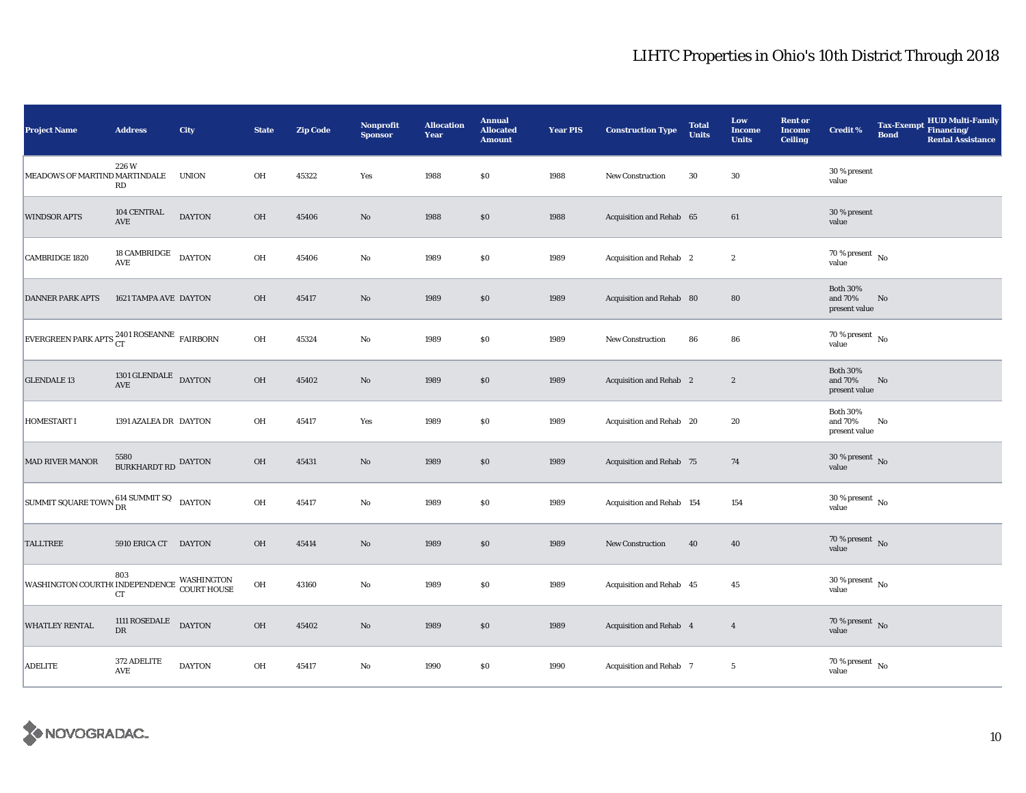| <b>Project Name</b>                                                                                                                                               | <b>Address</b>                                          | City          | <b>State</b> | <b>Zip Code</b> | <b>Nonprofit</b><br><b>Sponsor</b> | <b>Allocation</b><br>Year | <b>Annual</b><br><b>Allocated</b><br><b>Amount</b> | <b>Year PIS</b> | <b>Construction Type</b>        | <b>Total</b><br><b>Units</b> | Low<br><b>Income</b><br><b>Units</b> | <b>Rent or</b><br><b>Income</b><br><b>Ceiling</b> | <b>Credit %</b>                             | <b>Tax-Exempt</b><br><b>Bond</b> | HUD Multi-Family<br>Financing/<br><b>Rental Assistance</b> |
|-------------------------------------------------------------------------------------------------------------------------------------------------------------------|---------------------------------------------------------|---------------|--------------|-----------------|------------------------------------|---------------------------|----------------------------------------------------|-----------------|---------------------------------|------------------------------|--------------------------------------|---------------------------------------------------|---------------------------------------------|----------------------------------|------------------------------------------------------------|
| MEADOWS OF MARTIND MARTINDALE                                                                                                                                     | 226 W<br>RD                                             | <b>UNION</b>  | OH           | 45322           | Yes                                | 1988                      | \$0                                                | 1988            | New Construction                | 30                           | 30                                   |                                                   | 30 % present<br>value                       |                                  |                                                            |
| <b>WINDSOR APTS</b>                                                                                                                                               | 104 CENTRAL<br>AVE                                      | <b>DAYTON</b> | OH           | 45406           | $\rm No$                           | 1988                      | \$0                                                | 1988            | Acquisition and Rehab 65        |                              | 61                                   |                                                   | 30 % present<br>value                       |                                  |                                                            |
| CAMBRIDGE 1820                                                                                                                                                    | $18$ CAMBRIDGE $\;$ DAYTON AVE                          |               | OH           | 45406           | No                                 | 1989                      | $\$0$                                              | 1989            | Acquisition and Rehab 2         |                              | $\boldsymbol{2}$                     |                                                   | $70$ % present $\,$ No $\,$<br>value        |                                  |                                                            |
| <b>DANNER PARK APTS</b>                                                                                                                                           | 1621 TAMPA AVE DAYTON                                   |               | <b>OH</b>    | 45417           | $\rm No$                           | 1989                      | \$0                                                | 1989            | Acquisition and Rehab 80        |                              | 80                                   |                                                   | <b>Both 30%</b><br>and 70%<br>present value | No                               |                                                            |
| $\begin{array}{ l } \hline \textbf{EVERGREEN PARK APTS} \begin{array}{ll} 2401\text{ ROSEANNE} & \textbf{FAIRBORN} \\ \hline \text{CT} & \end{array} \end{array}$ |                                                         |               | OH           | 45324           | No                                 | 1989                      | $\$0$                                              | 1989            | New Construction                | 86                           | 86                                   |                                                   | $70$ % present $$\rm{No}$$ value            |                                  |                                                            |
| <b>GLENDALE 13</b>                                                                                                                                                | 1301 GLENDALE $_{\text{DATON}}$<br>$\operatorname{AVE}$ |               | OH           | 45402           | $\rm No$                           | 1989                      | $\$0$                                              | 1989            | Acquisition and Rehab 2         |                              | $\boldsymbol{2}$                     |                                                   | <b>Both 30%</b><br>and 70%<br>present value | No                               |                                                            |
| <b>HOMESTART I</b>                                                                                                                                                | 1391 AZALEA DR DAYTON                                   |               | OH           | 45417           | Yes                                | 1989                      | \$0                                                | 1989            | Acquisition and Rehab 20        |                              | 20                                   |                                                   | <b>Both 30%</b><br>and 70%<br>present value | No                               |                                                            |
| <b>MAD RIVER MANOR</b>                                                                                                                                            | $5580$ BURKHARDT RD $\,$ DAYTON $\,$                    |               | OH           | 45431           | $\rm No$                           | 1989                      | $\$0$                                              | 1989            | <b>Acquisition and Rehab 75</b> |                              | 74                                   |                                                   | $30\,\%$ present $\,$ No value              |                                  |                                                            |
| $\begin{array}{ l l } \hline \text{SUMMIT SQUARE TOWN}\end{array}\begin{array}{c} \text{614 SUMMIT SQ} & \text{DAYTON} \end{array}$                               |                                                         |               | OH           | 45417           | $\rm No$                           | 1989                      | $\$0$                                              | 1989            | Acquisition and Rehab 154       |                              | 154                                  |                                                   | $30\,\%$ present $\,$ No $\,$<br>value      |                                  |                                                            |
| <b>TALLTREE</b>                                                                                                                                                   | 5910 ERICA CT DAYTON                                    |               | OH           | 45414           | $\rm No$                           | 1989                      | \$0                                                | 1989            | New Construction                | 40                           | 40                                   |                                                   | 70 % present $\hbox{~No}$<br>value          |                                  |                                                            |
| WASHINGTON COURTH(INDEPENDENCE WASHINGTON                                                                                                                         | 803<br>CT                                               |               | OH           | 43160           | No                                 | 1989                      | $\$0$                                              | 1989            | Acquisition and Rehab 45        |                              | 45                                   |                                                   | $30$ % present $\,$ No $\,$<br>value        |                                  |                                                            |
| <b>WHATLEY RENTAL</b>                                                                                                                                             | $1111$ ROSEDALE<br>${\rm DR}$                           | <b>DAYTON</b> | OH           | 45402           | $\rm No$                           | 1989                      | \$0                                                | 1989            | Acquisition and Rehab 4         |                              | $\overline{4}$                       |                                                   | 70 % present $\hbox{~No}$<br>value          |                                  |                                                            |
| <b>ADELITE</b>                                                                                                                                                    | 372 ADELITE<br>$\operatorname{AVE}$                     | <b>DAYTON</b> | OH           | 45417           | No                                 | 1990                      | $\$0$                                              | 1990            | <b>Acquisition and Rehab 7</b>  |                              | $5\phantom{.0}$                      |                                                   | $70$ % present $$\rm{No}$$ value            |                                  |                                                            |